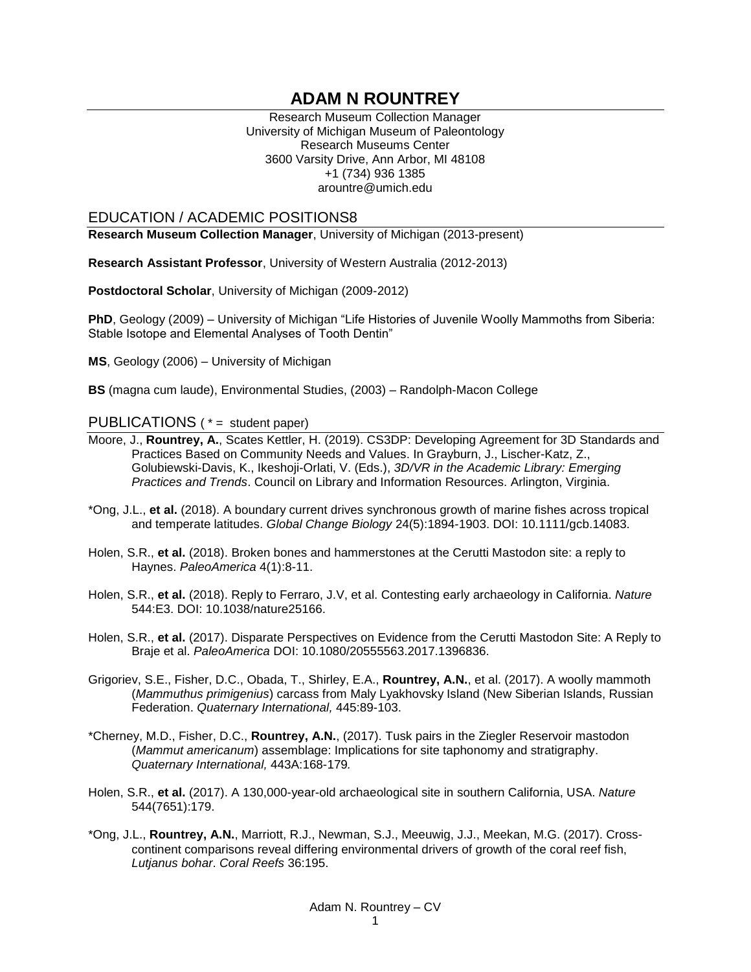# **ADAM N ROUNTREY**

Research Museum Collection Manager University of Michigan Museum of Paleontology Research Museums Center 3600 Varsity Drive, Ann Arbor, MI 48108 +1 (734) 936 1385 arountre@umich.edu

### EDUCATION / ACADEMIC POSITIONS8

**Research Museum Collection Manager**, University of Michigan (2013-present)

**Research Assistant Professor**, University of Western Australia (2012-2013)

**Postdoctoral Scholar**, University of Michigan (2009-2012)

**PhD**, Geology (2009) – University of Michigan "Life Histories of Juvenile Woolly Mammoths from Siberia: Stable Isotope and Elemental Analyses of Tooth Dentin"

**MS**, Geology (2006) – University of Michigan

**BS** (magna cum laude), Environmental Studies, (2003) – Randolph-Macon College

### PUBLICATIONS ( \* = student paper)

- Moore, J., **Rountrey, A.**, Scates Kettler, H. (2019). CS3DP: Developing Agreement for 3D Standards and Practices Based on Community Needs and Values. In Grayburn, J., Lischer-Katz, Z., Golubiewski-Davis, K., Ikeshoji-Orlati, V. (Eds.), *3D/VR in the Academic Library: Emerging Practices and Trends*. Council on Library and Information Resources. Arlington, Virginia.
- \*Ong, J.L., **et al.** (2018). A boundary current drives synchronous growth of marine fishes across tropical and temperate latitudes. *Global Change Biology* 24(5):1894-1903. DOI: 10.1111/gcb.14083.
- Holen, S.R., **et al.** (2018). Broken bones and hammerstones at the Cerutti Mastodon site: a reply to Haynes. *PaleoAmerica* 4(1):8-11.
- Holen, S.R., **et al.** (2018). Reply to Ferraro, J.V, et al. Contesting early archaeology in California. *Nature* 544:E3. DOI: 10.1038/nature25166.
- Holen, S.R., **et al.** (2017). Disparate Perspectives on Evidence from the Cerutti Mastodon Site: A Reply to Braje et al. *PaleoAmerica* DOI: 10.1080/20555563.2017.1396836.
- Grigoriev, S.E., Fisher, D.C., Obada, T., Shirley, E.A., **Rountrey, A.N.**, et al. (2017). A woolly mammoth (*Mammuthus primigenius*) carcass from Maly Lyakhovsky Island (New Siberian Islands, Russian Federation. *Quaternary International,* 445:89-103.
- \*Cherney, M.D., Fisher, D.C., **Rountrey, A.N.**, (2017). Tusk pairs in the Ziegler Reservoir mastodon (*Mammut americanum*) assemblage: Implications for site taphonomy and stratigraphy. *Quaternary International,* 443A:168-179*.*
- Holen, S.R., **et al.** (2017). A 130,000-year-old archaeological site in southern California, USA. *Nature* 544(7651):179.
- \*Ong, J.L., **Rountrey, A.N.**, Marriott, R.J., Newman, S.J., Meeuwig, J.J., Meekan, M.G. (2017). Crosscontinent comparisons reveal differing environmental drivers of growth of the coral reef fish, *Lutjanus bohar*. *Coral Reefs* 36:195.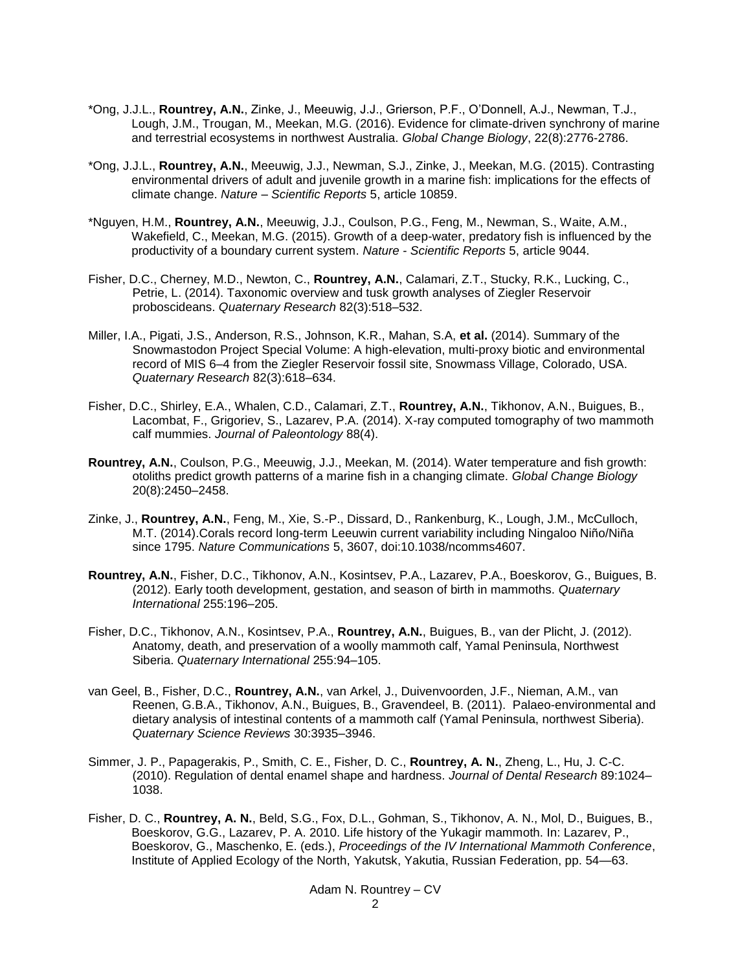- \*Ong, J.J.L., **Rountrey, A.N.**, Zinke, J., Meeuwig, J.J., Grierson, P.F., O'Donnell, A.J., Newman, T.J., Lough, J.M., Trougan, M., Meekan, M.G. (2016). Evidence for climate-driven synchrony of marine and terrestrial ecosystems in northwest Australia. *Global Change Biology*, 22(8):2776-2786.
- \*Ong, J.J.L., **Rountrey, A.N.**, Meeuwig, J.J., Newman, S.J., Zinke, J., Meekan, M.G. (2015). Contrasting environmental drivers of adult and juvenile growth in a marine fish: implications for the effects of climate change. *Nature – Scientific Reports* 5, article 10859.
- \*Nguyen, H.M., **Rountrey, A.N.**, Meeuwig, J.J., Coulson, P.G., Feng, M., Newman, S., Waite, A.M., Wakefield, C., Meekan, M.G. (2015). Growth of a deep-water, predatory fish is influenced by the productivity of a boundary current system. *Nature - Scientific Reports* 5, article 9044.
- Fisher, D.C., Cherney, M.D., Newton, C., **Rountrey, A.N.**, Calamari, Z.T., Stucky, R.K., Lucking, C., Petrie, L. (2014). Taxonomic overview and tusk growth analyses of Ziegler Reservoir proboscideans. *Quaternary Research* 82(3):518–532.
- Miller, I.A., Pigati, J.S., Anderson, R.S., Johnson, K.R., Mahan, S.A, **et al.** (2014). Summary of the Snowmastodon Project Special Volume: A high-elevation, multi-proxy biotic and environmental record of MIS 6–4 from the Ziegler Reservoir fossil site, Snowmass Village, Colorado, USA. *Quaternary Research* 82(3):618–634.
- Fisher, D.C., Shirley, E.A., Whalen, C.D., Calamari, Z.T., **Rountrey, A.N.**, Tikhonov, A.N., Buigues, B., Lacombat, F., Grigoriev, S., Lazarev, P.A. (2014). X-ray computed tomography of two mammoth calf mummies. *Journal of Paleontology* 88(4).
- **Rountrey, A.N.**, Coulson, P.G., Meeuwig, J.J., Meekan, M. (2014). Water temperature and fish growth: otoliths predict growth patterns of a marine fish in a changing climate. *Global Change Biology* 20(8):2450–2458.
- Zinke, J., **Rountrey, A.N.**, Feng, M., Xie, S.-P., Dissard, D., Rankenburg, K., Lough, J.M., McCulloch, M.T. (2014).Corals record long-term Leeuwin current variability including Ningaloo Niño/Niña since 1795. *Nature Communications* 5, 3607, doi:10.1038/ncomms4607.
- **Rountrey, A.N.**, Fisher, D.C., Tikhonov, A.N., Kosintsev, P.A., Lazarev, P.A., Boeskorov, G., Buigues, B. (2012). Early tooth development, gestation, and season of birth in mammoths. *Quaternary International* 255:196–205.
- Fisher, D.C., Tikhonov, A.N., Kosintsev, P.A., **Rountrey, A.N.**, Buigues, B., van der Plicht, J. (2012). Anatomy, death, and preservation of a woolly mammoth calf, Yamal Peninsula, Northwest Siberia. *Quaternary International* 255:94–105.
- van Geel, B., Fisher, D.C., **Rountrey, A.N.**, van Arkel, J., Duivenvoorden, J.F., Nieman, A.M., van Reenen, G.B.A., Tikhonov, A.N., Buigues, B., Gravendeel, B. (2011). Palaeo-environmental and dietary analysis of intestinal contents of a mammoth calf (Yamal Peninsula, northwest Siberia). *Quaternary Science Reviews* 30:3935–3946.
- Simmer, J. P., Papagerakis, P., Smith, C. E., Fisher, D. C., **Rountrey, A. N.**, Zheng, L., Hu, J. C-C. (2010). Regulation of dental enamel shape and hardness. *Journal of Dental Research* 89:1024– 1038.
- Fisher, D. C., **Rountrey, A. N.**, Beld, S.G., Fox, D.L., Gohman, S., Tikhonov, A. N., Mol, D., Buigues, B., Boeskorov, G.G., Lazarev, P. A. 2010. Life history of the Yukagir mammoth. In: Lazarev, P., Boeskorov, G., Maschenko, E. (eds.), *Proceedings of the IV International Mammoth Conference*, Institute of Applied Ecology of the North, Yakutsk, Yakutia, Russian Federation, pp. 54—63.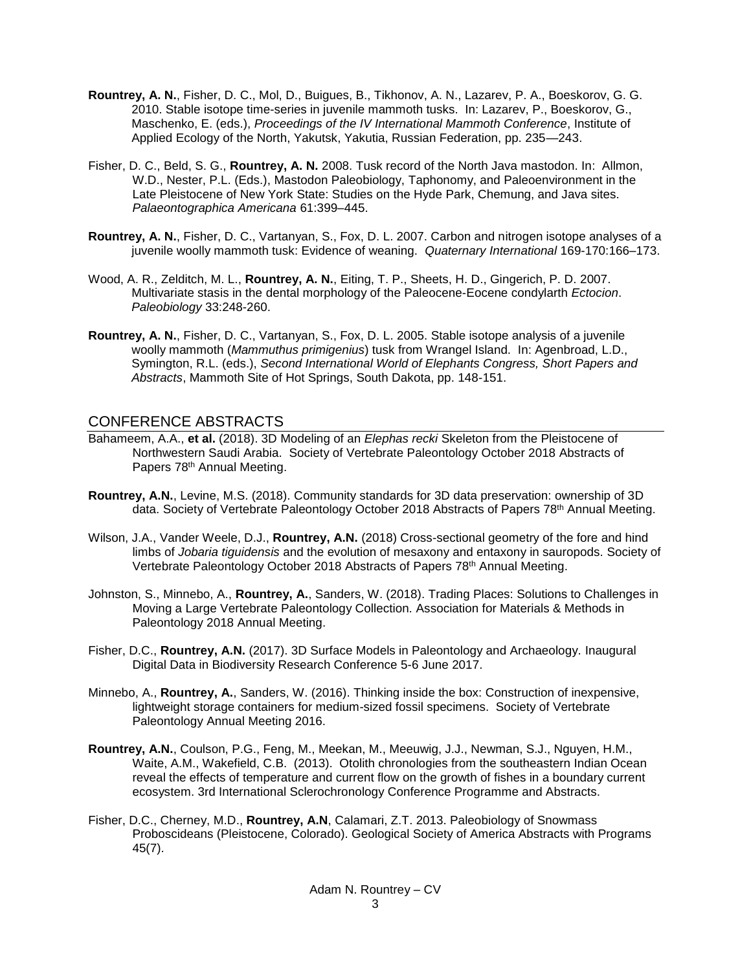- **Rountrey, A. N.**, Fisher, D. C., Mol, D., Buigues, B., Tikhonov, A. N., Lazarev, P. A., Boeskorov, G. G. 2010. Stable isotope time-series in juvenile mammoth tusks. In: Lazarev, P., Boeskorov, G., Maschenko, E. (eds.), *Proceedings of the IV International Mammoth Conference*, Institute of Applied Ecology of the North, Yakutsk, Yakutia, Russian Federation, pp. 235—243.
- Fisher, D. C., Beld, S. G., **Rountrey, A. N.** 2008. Tusk record of the North Java mastodon. In: Allmon, W.D., Nester, P.L. (Eds.), Mastodon Paleobiology, Taphonomy, and Paleoenvironment in the Late Pleistocene of New York State: Studies on the Hyde Park, Chemung, and Java sites. *Palaeontographica Americana* 61:399–445.
- **Rountrey, A. N.**, Fisher, D. C., Vartanyan, S., Fox, D. L. 2007. Carbon and nitrogen isotope analyses of a juvenile woolly mammoth tusk: Evidence of weaning. *Quaternary International* 169-170:166–173.
- Wood, A. R., Zelditch, M. L., **Rountrey, A. N.**, Eiting, T. P., Sheets, H. D., Gingerich, P. D. 2007. Multivariate stasis in the dental morphology of the Paleocene-Eocene condylarth *Ectocion*. *Paleobiology* 33:248-260.
- **Rountrey, A. N.**, Fisher, D. C., Vartanyan, S., Fox, D. L. 2005. Stable isotope analysis of a juvenile woolly mammoth (*Mammuthus primigenius*) tusk from Wrangel Island. In: Agenbroad, L.D., Symington, R.L. (eds.), *Second International World of Elephants Congress, Short Papers and Abstracts*, Mammoth Site of Hot Springs, South Dakota, pp. 148-151.

### CONFERENCE ABSTRACTS

- Bahameem, A.A., **et al.** (2018). 3D Modeling of an *Elephas recki* Skeleton from the Pleistocene of Northwestern Saudi Arabia. Society of Vertebrate Paleontology October 2018 Abstracts of Papers 78<sup>th</sup> Annual Meeting.
- **Rountrey, A.N.**, Levine, M.S. (2018). Community standards for 3D data preservation: ownership of 3D data. Society of Vertebrate Paleontology October 2018 Abstracts of Papers 78<sup>th</sup> Annual Meeting.
- Wilson, J.A., Vander Weele, D.J., **Rountrey, A.N.** (2018) Cross-sectional geometry of the fore and hind limbs of *Jobaria tiguidensis* and the evolution of mesaxony and entaxony in sauropods. Society of Vertebrate Paleontology October 2018 Abstracts of Papers 78<sup>th</sup> Annual Meeting.
- Johnston, S., Minnebo, A., **Rountrey, A.**, Sanders, W. (2018). Trading Places: Solutions to Challenges in Moving a Large Vertebrate Paleontology Collection. Association for Materials & Methods in Paleontology 2018 Annual Meeting.
- Fisher, D.C., **Rountrey, A.N.** (2017). 3D Surface Models in Paleontology and Archaeology. Inaugural Digital Data in Biodiversity Research Conference 5-6 June 2017.
- Minnebo, A., **Rountrey, A.**, Sanders, W. (2016). Thinking inside the box: Construction of inexpensive, lightweight storage containers for medium-sized fossil specimens. Society of Vertebrate Paleontology Annual Meeting 2016.
- **Rountrey, A.N.**, Coulson, P.G., Feng, M., Meekan, M., Meeuwig, J.J., Newman, S.J., Nguyen, H.M., Waite, A.M., Wakefield, C.B. (2013). Otolith chronologies from the southeastern Indian Ocean reveal the effects of temperature and current flow on the growth of fishes in a boundary current ecosystem. 3rd International Sclerochronology Conference Programme and Abstracts.
- Fisher, D.C., Cherney, M.D., **Rountrey, A.N**, Calamari, Z.T. 2013. Paleobiology of Snowmass Proboscideans (Pleistocene, Colorado). Geological Society of America Abstracts with Programs 45(7).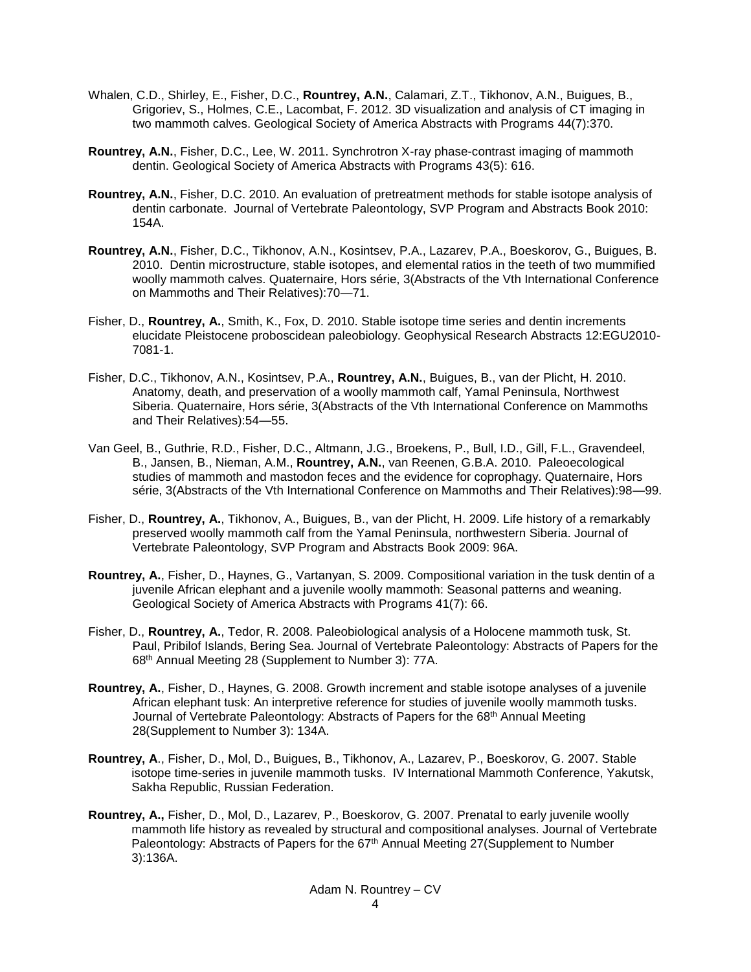- Whalen, C.D., Shirley, E., Fisher, D.C., **Rountrey, A.N.**, Calamari, Z.T., Tikhonov, A.N., Buigues, B., Grigoriev, S., Holmes, C.E., Lacombat, F. 2012. 3D visualization and analysis of CT imaging in two mammoth calves. Geological Society of America Abstracts with Programs 44(7):370.
- **Rountrey, A.N.**, Fisher, D.C., Lee, W. 2011. Synchrotron X-ray phase-contrast imaging of mammoth dentin. Geological Society of America Abstracts with Programs 43(5): 616.
- **Rountrey, A.N.**, Fisher, D.C. 2010. An evaluation of pretreatment methods for stable isotope analysis of dentin carbonate. Journal of Vertebrate Paleontology, SVP Program and Abstracts Book 2010: 154A.
- **Rountrey, A.N.**, Fisher, D.C., Tikhonov, A.N., Kosintsev, P.A., Lazarev, P.A., Boeskorov, G., Buigues, B. 2010. Dentin microstructure, stable isotopes, and elemental ratios in the teeth of two mummified woolly mammoth calves. Quaternaire, Hors série, 3(Abstracts of the Vth International Conference on Mammoths and Their Relatives):70—71.
- Fisher, D., **Rountrey, A.**, Smith, K., Fox, D. 2010. Stable isotope time series and dentin increments elucidate Pleistocene proboscidean paleobiology. Geophysical Research Abstracts 12:EGU2010- 7081-1.
- Fisher, D.C., Tikhonov, A.N., Kosintsev, P.A., **Rountrey, A.N.**, Buigues, B., van der Plicht, H. 2010. Anatomy, death, and preservation of a woolly mammoth calf, Yamal Peninsula, Northwest Siberia. Quaternaire, Hors série, 3(Abstracts of the Vth International Conference on Mammoths and Their Relatives):54—55.
- Van Geel, B., Guthrie, R.D., Fisher, D.C., Altmann, J.G., Broekens, P., Bull, I.D., Gill, F.L., Gravendeel, B., Jansen, B., Nieman, A.M., **Rountrey, A.N.**, van Reenen, G.B.A. 2010. Paleoecological studies of mammoth and mastodon feces and the evidence for coprophagy. Quaternaire, Hors série, 3(Abstracts of the Vth International Conference on Mammoths and Their Relatives):98—99.
- Fisher, D., **Rountrey, A.**, Tikhonov, A., Buigues, B., van der Plicht, H. 2009. Life history of a remarkably preserved woolly mammoth calf from the Yamal Peninsula, northwestern Siberia. Journal of Vertebrate Paleontology, SVP Program and Abstracts Book 2009: 96A.
- **Rountrey, A.**, Fisher, D., Haynes, G., Vartanyan, S. 2009. Compositional variation in the tusk dentin of a juvenile African elephant and a juvenile woolly mammoth: Seasonal patterns and weaning. Geological Society of America Abstracts with Programs 41(7): 66.
- Fisher, D., **Rountrey, A.**, Tedor, R. 2008. Paleobiological analysis of a Holocene mammoth tusk, St. Paul, Pribilof Islands, Bering Sea. Journal of Vertebrate Paleontology: Abstracts of Papers for the 68th Annual Meeting 28 (Supplement to Number 3): 77A.
- **Rountrey, A.**, Fisher, D., Haynes, G. 2008. Growth increment and stable isotope analyses of a juvenile African elephant tusk: An interpretive reference for studies of juvenile woolly mammoth tusks. Journal of Vertebrate Paleontology: Abstracts of Papers for the 68<sup>th</sup> Annual Meeting 28(Supplement to Number 3): 134A.
- **Rountrey, A**., Fisher, D., Mol, D., Buigues, B., Tikhonov, A., Lazarev, P., Boeskorov, G. 2007. Stable isotope time-series in juvenile mammoth tusks. IV International Mammoth Conference, Yakutsk, Sakha Republic, Russian Federation.
- **Rountrey, A.,** Fisher, D., Mol, D., Lazarev, P., Boeskorov, G. 2007. Prenatal to early juvenile woolly mammoth life history as revealed by structural and compositional analyses. Journal of Vertebrate Paleontology: Abstracts of Papers for the 67<sup>th</sup> Annual Meeting 27(Supplement to Number 3):136A.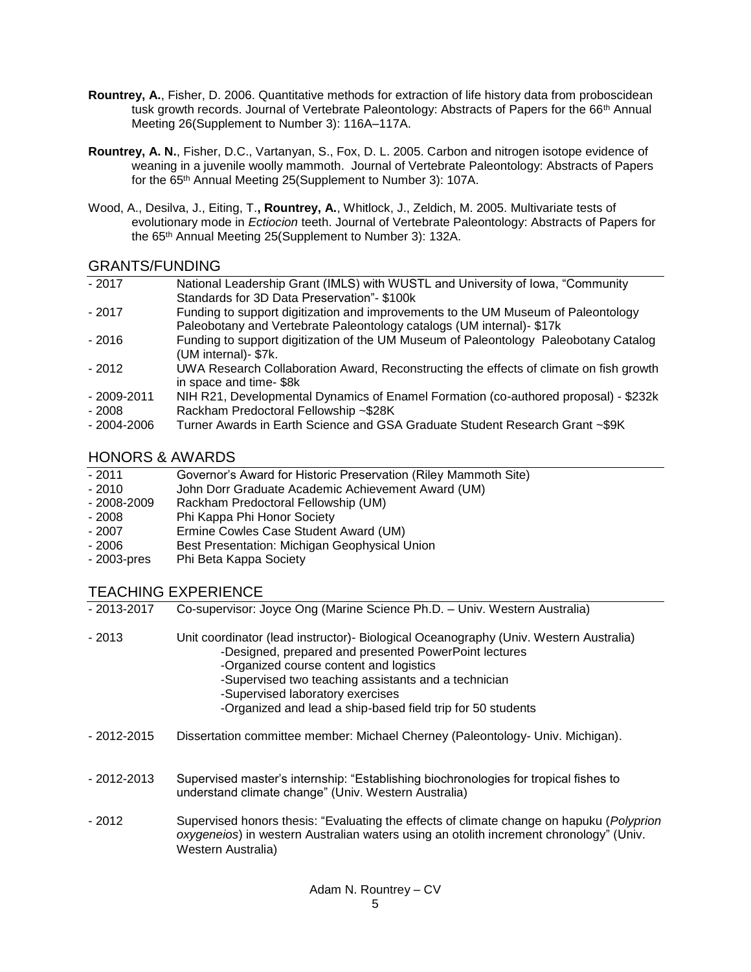- **Rountrey, A.**, Fisher, D. 2006. Quantitative methods for extraction of life history data from proboscidean tusk growth records. Journal of Vertebrate Paleontology: Abstracts of Papers for the 66<sup>th</sup> Annual Meeting 26(Supplement to Number 3): 116A–117A.
- **Rountrey, A. N.**, Fisher, D.C., Vartanyan, S., Fox, D. L. 2005. Carbon and nitrogen isotope evidence of weaning in a juvenile woolly mammoth. Journal of Vertebrate Paleontology: Abstracts of Papers for the 65th Annual Meeting 25(Supplement to Number 3): 107A.
- Wood, A., Desilva, J., Eiting, T.**, Rountrey, A.**, Whitlock, J., Zeldich, M. 2005. Multivariate tests of evolutionary mode in *Ectiocion* teeth. Journal of Vertebrate Paleontology: Abstracts of Papers for the 65th Annual Meeting 25(Supplement to Number 3): 132A.

## GRANTS/FUNDING

| $-2017$        | National Leadership Grant (IMLS) with WUSTL and University of Iowa, "Community         |
|----------------|----------------------------------------------------------------------------------------|
|                | Standards for 3D Data Preservation"- \$100k                                            |
| $-2017$        | Funding to support digitization and improvements to the UM Museum of Paleontology      |
|                | Paleobotany and Vertebrate Paleontology catalogs (UM internal) - \$17k                 |
| $-2016$        | Funding to support digitization of the UM Museum of Paleontology Paleobotany Catalog   |
|                | (UM internal)- \$7k.                                                                   |
| $-2012$        | UWA Research Collaboration Award, Reconstructing the effects of climate on fish growth |
|                | in space and time-\$8k                                                                 |
| - 2009-2011    | NIH R21, Developmental Dynamics of Enamel Formation (co-authored proposal) - \$232k    |
| $-2008$        | Rackham Predoctoral Fellowship ~\$28K                                                  |
| $-2004 - 2006$ | Turner Awards in Earth Science and GSA Graduate Student Research Grant ~\$9K           |

## HONORS & AWARDS

| - 2011       | Governor's Award for Historic Preservation (Riley Mammoth Site) |  |
|--------------|-----------------------------------------------------------------|--|
| - 2010       | John Dorr Graduate Academic Achievement Award (UM)              |  |
| $-2008-2009$ | <b>Dackbam Predectoral Fellowsbin (UM)</b>                      |  |

- 2008-2009 Rackham Predoctoral Fellowship (UM)
- 2008 Phi Kappa Phi Honor Society
- 2007 Ermine Cowles Case Student Award (UM)<br>- 2006 Best Presentation: Michigan Geophysical I
- Best Presentation: Michigan Geophysical Union
- 2003-pres Phi Beta Kappa Society

## TEACHING EXPERIENCE

| - 2013-2017 | Co-supervisor: Joyce Ong (Marine Science Ph.D. - Univ. Western Australia)                                                                                                                                                                                                                                                                             |
|-------------|-------------------------------------------------------------------------------------------------------------------------------------------------------------------------------------------------------------------------------------------------------------------------------------------------------------------------------------------------------|
| - 2013      | Unit coordinator (lead instructor) - Biological Oceanography (Univ. Western Australia)<br>-Designed, prepared and presented PowerPoint lectures<br>-Organized course content and logistics<br>-Supervised two teaching assistants and a technician<br>-Supervised laboratory exercises<br>-Organized and lead a ship-based field trip for 50 students |
|             |                                                                                                                                                                                                                                                                                                                                                       |

- 2012-2015 Dissertation committee member: Michael Cherney (Paleontology- Univ. Michigan).
- 2012-2013 Supervised master's internship: "Establishing biochronologies for tropical fishes to understand climate change" (Univ. Western Australia)
- 2012 Supervised honors thesis: "Evaluating the effects of climate change on hapuku (*Polyprion oxygeneios*) in western Australian waters using an otolith increment chronology" (Univ. Western Australia)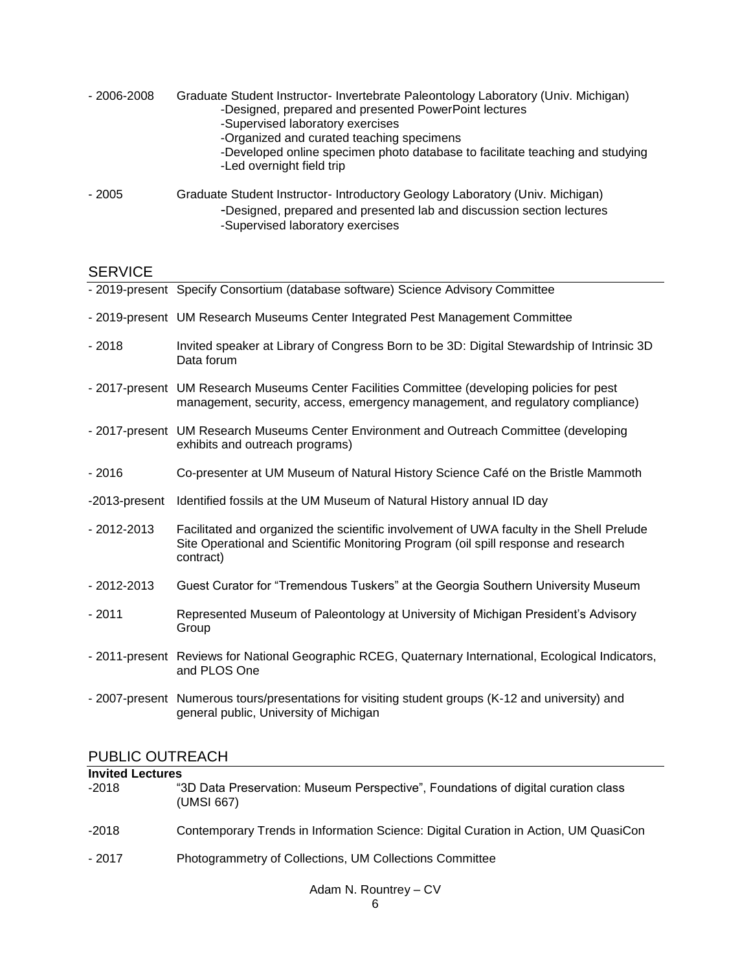| $-2006 - 2008$ | Graduate Student Instructor-Invertebrate Paleontology Laboratory (Univ. Michigan)<br>-Designed, prepared and presented PowerPoint lectures<br>-Supervised laboratory exercises<br>-Organized and curated teaching specimens<br>-Developed online specimen photo database to facilitate teaching and studying<br>-Led overnight field trip |
|----------------|-------------------------------------------------------------------------------------------------------------------------------------------------------------------------------------------------------------------------------------------------------------------------------------------------------------------------------------------|
| $-2005$        | Graduate Student Instructor- Introductory Geology Laboratory (Univ. Michigan)<br>-Designed, prepared and presented lab and discussion section lectures                                                                                                                                                                                    |

-Supervised laboratory exercises

# SERVICE

|               | - 2019-present Specify Consortium (database software) Science Advisory Committee                                                                                                             |
|---------------|----------------------------------------------------------------------------------------------------------------------------------------------------------------------------------------------|
|               | - 2019-present UM Research Museums Center Integrated Pest Management Committee                                                                                                               |
| $-2018$       | Invited speaker at Library of Congress Born to be 3D: Digital Stewardship of Intrinsic 3D<br>Data forum                                                                                      |
|               | - 2017-present UM Research Museums Center Facilities Committee (developing policies for pest<br>management, security, access, emergency management, and regulatory compliance)               |
|               | - 2017-present UM Research Museums Center Environment and Outreach Committee (developing<br>exhibits and outreach programs)                                                                  |
| $-2016$       | Co-presenter at UM Museum of Natural History Science Café on the Bristle Mammoth                                                                                                             |
| -2013-present | Identified fossils at the UM Museum of Natural History annual ID day                                                                                                                         |
| - 2012-2013   | Facilitated and organized the scientific involvement of UWA faculty in the Shell Prelude<br>Site Operational and Scientific Monitoring Program (oil spill response and research<br>contract) |
| - 2012-2013   | Guest Curator for "Tremendous Tuskers" at the Georgia Southern University Museum                                                                                                             |
| $-2011$       | Represented Museum of Paleontology at University of Michigan President's Advisory<br>Group                                                                                                   |
|               | - 2011-present Reviews for National Geographic RCEG, Quaternary International, Ecological Indicators,<br>and PLOS One                                                                        |
|               | - 2007-present Numerous tours/presentations for visiting student groups (K-12 and university) and<br>general public, University of Michigan                                                  |

# PUBLIC OUTREACH

| <b>Invited Lectures</b> |                                                                                                 |  |
|-------------------------|-------------------------------------------------------------------------------------------------|--|
| $-2018$                 | "3D Data Preservation: Museum Perspective", Foundations of digital curation class<br>(UMSI 667) |  |
| $-2018$                 | Contemporary Trends in Information Science: Digital Curation in Action, UM QuasiCon             |  |
| $-2017$                 | Photogrammetry of Collections, UM Collections Committee                                         |  |
|                         |                                                                                                 |  |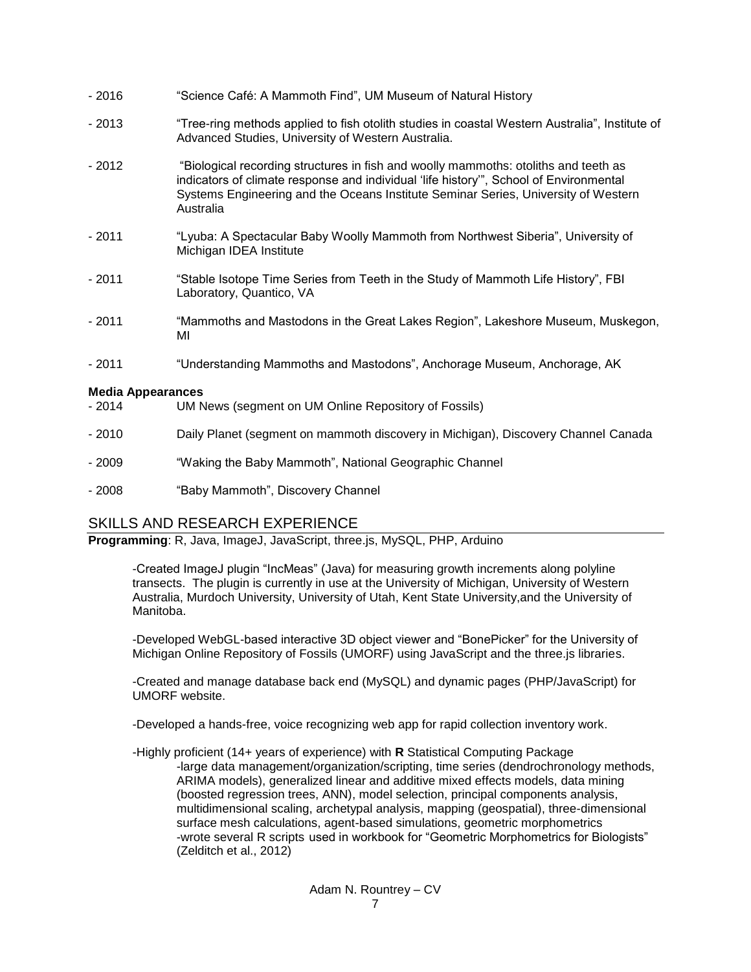| $-2016$                             | "Science Café: A Mammoth Find", UM Museum of Natural History                                                                                                                                                                                                                     |
|-------------------------------------|----------------------------------------------------------------------------------------------------------------------------------------------------------------------------------------------------------------------------------------------------------------------------------|
| $-2013$                             | "Tree-ring methods applied to fish otolith studies in coastal Western Australia", Institute of<br>Advanced Studies, University of Western Australia.                                                                                                                             |
| $-2012$                             | "Biological recording structures in fish and woolly mammoths: otoliths and teeth as<br>indicators of climate response and individual 'life history'", School of Environmental<br>Systems Engineering and the Oceans Institute Seminar Series, University of Western<br>Australia |
| $-2011$                             | "Lyuba: A Spectacular Baby Woolly Mammoth from Northwest Siberia", University of<br>Michigan IDEA Institute                                                                                                                                                                      |
| $-2011$                             | "Stable Isotope Time Series from Teeth in the Study of Mammoth Life History", FBI<br>Laboratory, Quantico, VA                                                                                                                                                                    |
| $-2011$                             | "Mammoths and Mastodons in the Great Lakes Region", Lakeshore Museum, Muskegon,<br>МI                                                                                                                                                                                            |
| $-2011$                             | "Understanding Mammoths and Mastodons", Anchorage Museum, Anchorage, AK                                                                                                                                                                                                          |
| <b>Media Appearances</b><br>$-2014$ | UM News (segment on UM Online Repository of Fossils)                                                                                                                                                                                                                             |
| $-2010$                             | Daily Planet (segment on mammoth discovery in Michigan), Discovery Channel Canada                                                                                                                                                                                                |
| $-2009$                             | "Waking the Baby Mammoth", National Geographic Channel                                                                                                                                                                                                                           |
| $-2008$                             | "Baby Mammoth", Discovery Channel                                                                                                                                                                                                                                                |

## SKILLS AND RESEARCH EXPERIENCE

**Programming**: R, Java, ImageJ, JavaScript, three.js, MySQL, PHP, Arduino

-Created ImageJ plugin "IncMeas" (Java) for measuring growth increments along polyline transects. The plugin is currently in use at the University of Michigan, University of Western Australia, Murdoch University, University of Utah, Kent State University,and the University of Manitoba.

-Developed WebGL-based interactive 3D object viewer and "BonePicker" for the University of Michigan Online Repository of Fossils (UMORF) using JavaScript and the three.js libraries.

-Created and manage database back end (MySQL) and dynamic pages (PHP/JavaScript) for UMORF website.

-Developed a hands-free, voice recognizing web app for rapid collection inventory work.

-Highly proficient (14+ years of experience) with **R** Statistical Computing Package -large data management/organization/scripting, time series (dendrochronology methods, ARIMA models), generalized linear and additive mixed effects models, data mining (boosted regression trees, ANN), model selection, principal components analysis, multidimensional scaling, archetypal analysis, mapping (geospatial), three-dimensional surface mesh calculations, agent-based simulations, geometric morphometrics -wrote several R scripts used in workbook for "Geometric Morphometrics for Biologists" (Zelditch et al., 2012)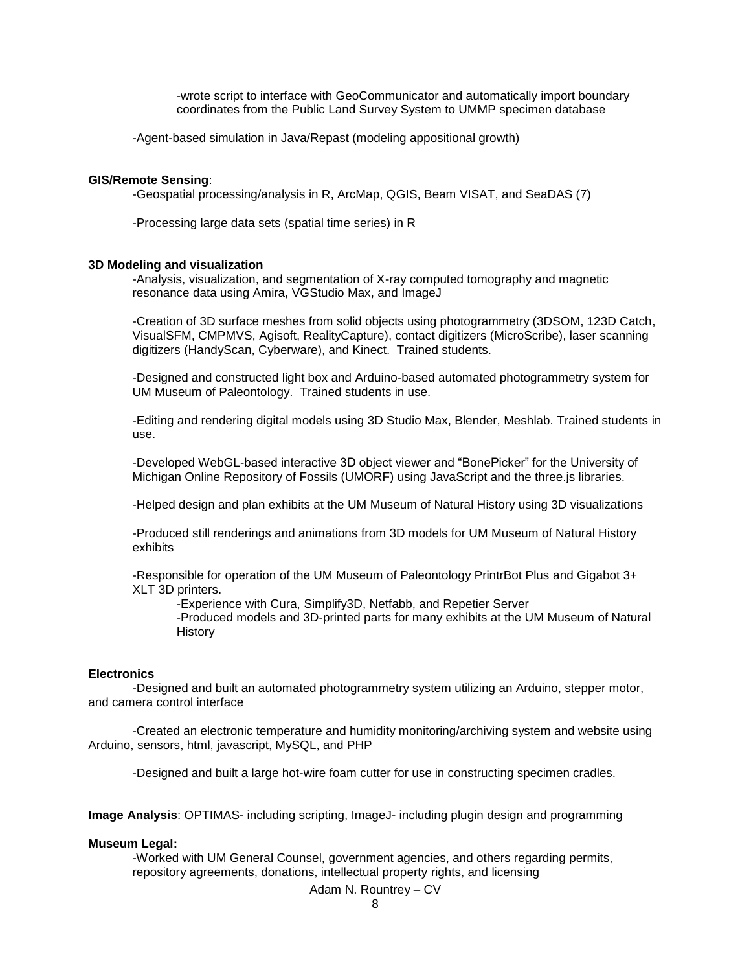-wrote script to interface with GeoCommunicator and automatically import boundary coordinates from the Public Land Survey System to UMMP specimen database

-Agent-based simulation in Java/Repast (modeling appositional growth)

#### **GIS/Remote Sensing**:

-Geospatial processing/analysis in R, ArcMap, QGIS, Beam VISAT, and SeaDAS (7)

-Processing large data sets (spatial time series) in R

#### **3D Modeling and visualization**

-Analysis, visualization, and segmentation of X-ray computed tomography and magnetic resonance data using Amira, VGStudio Max, and ImageJ

-Creation of 3D surface meshes from solid objects using photogrammetry (3DSOM, 123D Catch, VisualSFM, CMPMVS, Agisoft, RealityCapture), contact digitizers (MicroScribe), laser scanning digitizers (HandyScan, Cyberware), and Kinect. Trained students.

-Designed and constructed light box and Arduino-based automated photogrammetry system for UM Museum of Paleontology. Trained students in use.

-Editing and rendering digital models using 3D Studio Max, Blender, Meshlab. Trained students in use.

-Developed WebGL-based interactive 3D object viewer and "BonePicker" for the University of Michigan Online Repository of Fossils (UMORF) using JavaScript and the three.js libraries.

-Helped design and plan exhibits at the UM Museum of Natural History using 3D visualizations

-Produced still renderings and animations from 3D models for UM Museum of Natural History exhibits

-Responsible for operation of the UM Museum of Paleontology PrintrBot Plus and Gigabot 3+ XLT 3D printers.

-Experience with Cura, Simplify3D, Netfabb, and Repetier Server

-Produced models and 3D-printed parts for many exhibits at the UM Museum of Natural **History** 

#### **Electronics**

-Designed and built an automated photogrammetry system utilizing an Arduino, stepper motor, and camera control interface

-Created an electronic temperature and humidity monitoring/archiving system and website using Arduino, sensors, html, javascript, MySQL, and PHP

-Designed and built a large hot-wire foam cutter for use in constructing specimen cradles.

**Image Analysis**: OPTIMAS- including scripting, ImageJ- including plugin design and programming

#### **Museum Legal:**

-Worked with UM General Counsel, government agencies, and others regarding permits, repository agreements, donations, intellectual property rights, and licensing

Adam N. Rountrey – CV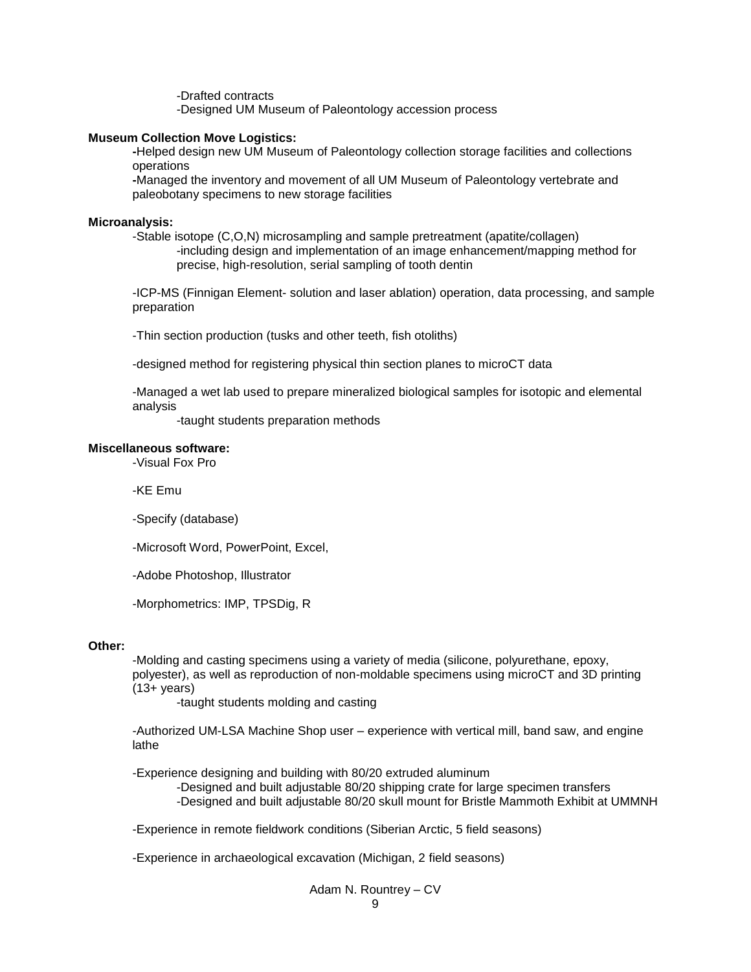-Drafted contracts -Designed UM Museum of Paleontology accession process

#### **Museum Collection Move Logistics:**

**-**Helped design new UM Museum of Paleontology collection storage facilities and collections operations

**-**Managed the inventory and movement of all UM Museum of Paleontology vertebrate and paleobotany specimens to new storage facilities

#### **Microanalysis:**

-Stable isotope (C,O,N) microsampling and sample pretreatment (apatite/collagen) -including design and implementation of an image enhancement/mapping method for precise, high-resolution, serial sampling of tooth dentin

-ICP-MS (Finnigan Element- solution and laser ablation) operation, data processing, and sample preparation

-Thin section production (tusks and other teeth, fish otoliths)

-designed method for registering physical thin section planes to microCT data

-Managed a wet lab used to prepare mineralized biological samples for isotopic and elemental analysis

-taught students preparation methods

#### **Miscellaneous software:**

-Visual Fox Pro

-KE Emu

-Specify (database)

-Microsoft Word, PowerPoint, Excel,

-Adobe Photoshop, Illustrator

-Morphometrics: IMP, TPSDig, R

#### **Other:**

-Molding and casting specimens using a variety of media (silicone, polyurethane, epoxy, polyester), as well as reproduction of non-moldable specimens using microCT and 3D printing  $(13 + \mathrm{years})$ 

-taught students molding and casting

-Authorized UM-LSA Machine Shop user – experience with vertical mill, band saw, and engine lathe

-Experience designing and building with 80/20 extruded aluminum

-Designed and built adjustable 80/20 shipping crate for large specimen transfers

-Designed and built adjustable 80/20 skull mount for Bristle Mammoth Exhibit at UMMNH

-Experience in remote fieldwork conditions (Siberian Arctic, 5 field seasons)

-Experience in archaeological excavation (Michigan, 2 field seasons)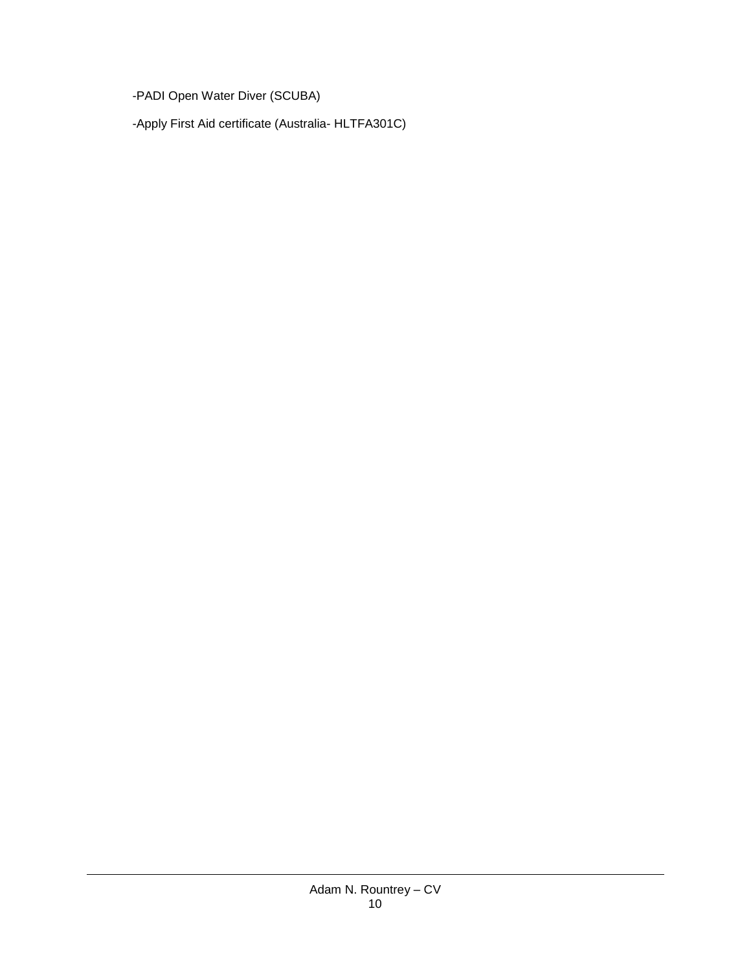-PADI Open Water Diver (SCUBA)

-Apply First Aid certificate (Australia- HLTFA301C)